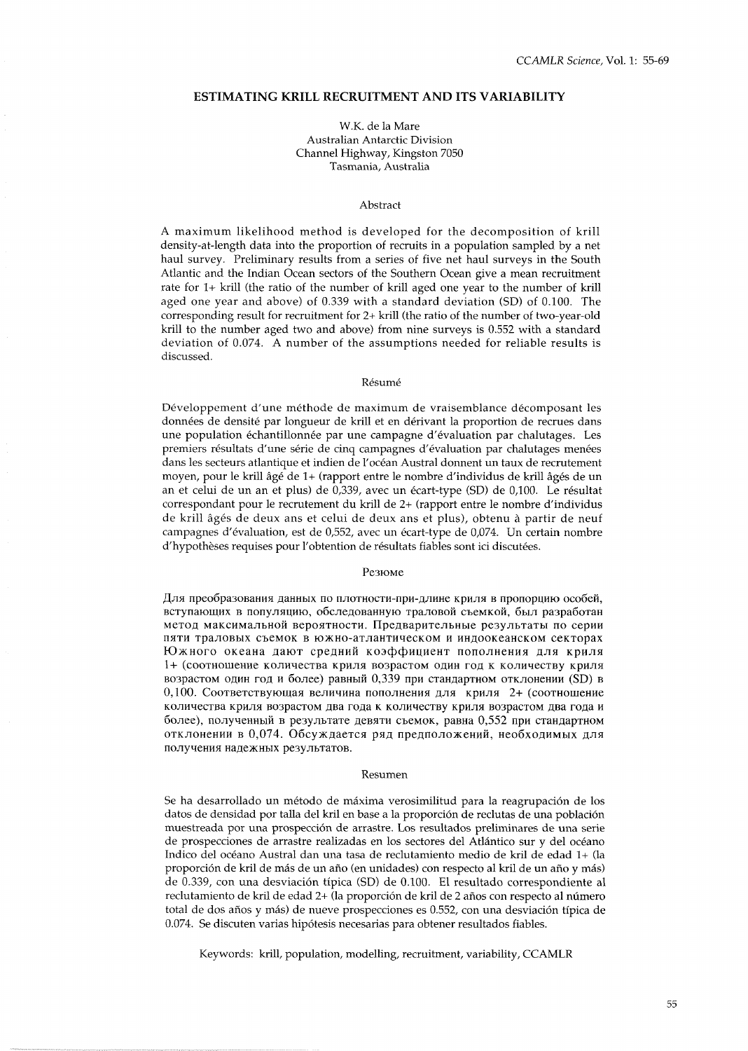# **ESTIMATING KRILL RECRUITMENT AND ITS VARIABILITY**

### W.K. de la Mare Australian Antarctic Division Channel Highway, Kingston 7050 Tasmania, Australia

### Abstract

A maximum likelihood method is developed for the decomposition of krill density-at-length data into the proportion of recruits in a population sampled by a net haul survey. Preliminary results from a series of five net haul surveys in the South Atlantic and the Indian Ocean sectors of the Southern Ocean give a mean recruitment rate for l+ krill (the ratio of the number of krill aged one year to the number of krill aged one year and above) of 0.339 with a standard deviation (SD) of 0.100. The corresponding result for recruitment for 2+ krill (the ratio of the number of two-year-old krill to the number aged two and above) from nine surveys is 0.552 with a standard deviation of 0.074. A number of the assumptions needed for reliable results is discussed.

#### Résumé

Developpement d'une methode de maximum de vraisemblance decomposant les donnees de densite par longueur de krill et en derivant la proportion de recrues dans une population échantillonnée par une campagne d'évaluation par chalutages. Les premiers resultats d'une serie de cinq campagnes d'evaluation par chalutages menees dans les secteurs atlantique et indien de l'ocean Austral donnent un taux de recrutement moyen, pour le krill âgé de 1+ (rapport entre le nombre d'individus de krill âgés de un an et celui de un an et plus) de 0,339, avec un écart-type (SD) de 0,100. Le résultat correspondant pour le recrutement du krill de 2+ (rapport entre le nombre d'individus de krill âgés de deux ans et celui de deux ans et plus), obtenu à partir de neuf campagnes d'évaluation, est de 0,552, avec un écart-type de 0,074. Un certain nombre d'hypothèses requises pour l'obtention de résultats fiables sont ici discutées.

#### Резюме

Для преобразования данных по плотности-при-длине криля в пропорцию особей, вступающих в популяцию, обследованную траловой съемкой, был разработан метод максимальной вероятности. Предварительные результаты по серии пяти траловых съемок в южно-атлантическом и индоокеанском секторах Южного океана дают средний коэффициент пополнения для криля 1+ (соотношение количества криля возрастом один год к количеству криля возрастом один год и более) равный 0,339 при стандартном отклонении (SD) в 0,100. Соответствующая величина пополнения для криля 2+ (соотношение количества криля возрастом два года к количеству криля возрастом два года и более), полученный в результате девяти съемок, равна 0,552 при стандартном отклонении в 0,074. Обсуждается ряд предположений, необходимых для получения надежных результатов.

#### Resumen

Se ha desarrollado un método de máxima verosimilitud para la reagrupación de los datos de densidad por talla del kril en base a la proporción de reclutas de una población muestreada por una prospecci6n de arrastre. Los resultados preliminares de una serie de prospecciones de arrastre realizadas en los sectores del Atlántico sur y del océano Indico del ocean0 Austral dan una tasa de reclutamiento medio de kril de edad l+ (la proporción de kril de más de un año (en unidades) con respecto al kril de un año y más) de 0.339, con una desviación típica (SD) de 0.100. El resultado correspondiente al reclutamiento de kril de edad 2+ (la proporción de kril de 2 años con respecto al número total de dos afios y mas) de nueve prospecciones es 0.552, con una desviacion tipica de 0.074. Se discuten varias hipotesis necesarias para obtener resultados fiables.

Keywords: krill, population, modelling, recruitment, variability, CCAMLR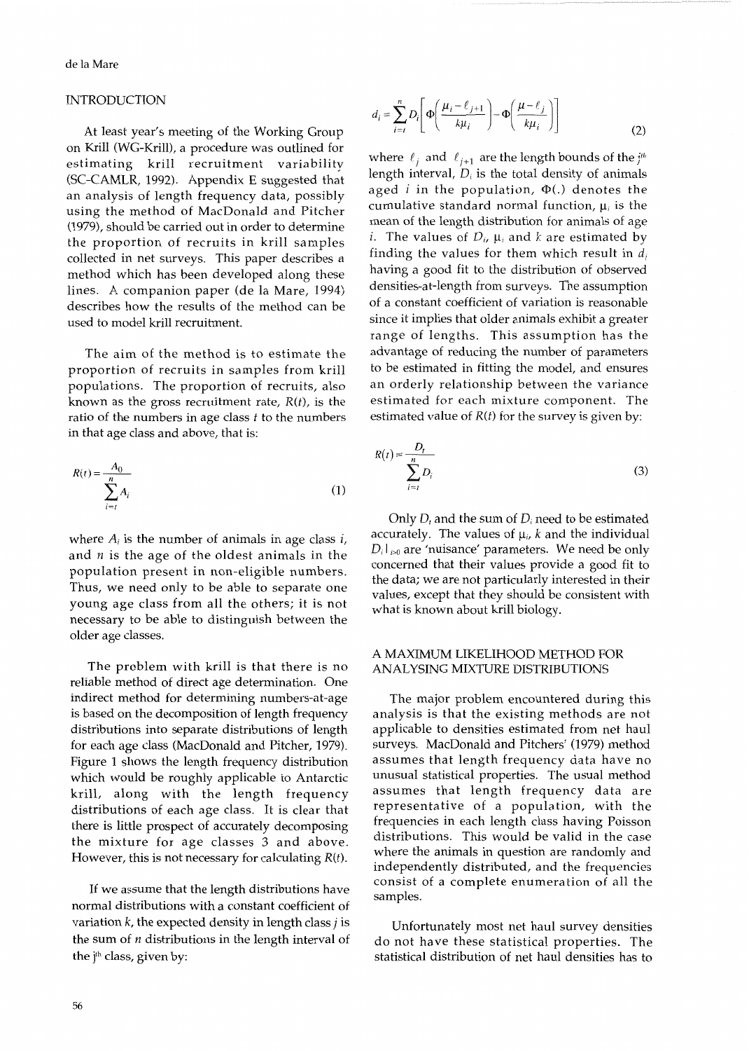## INTRODUCTION

At least year's meeting of the Working Group on Krill (WG-Krill), a procedure was outlined for estimating krill recruitment variability (SC-CAMLR, 1992). Appendix E suggested that an analysis of length frequency data, possibly using the method of MacDonald and Pitcher (1979), should be carried out in order to determine the proportion of recruits in krill samples collected in net surveys. This paper describes a method which has been developed along these lines. A companion paper (de la Mare, 1994) describes how the results of the method can be used to model krill recruitment.

The aim of the method is to estimate the proportion of recruits in samples from krill populations. The proportion of recruits, also known as the gross recruitment rate, *R(t),* is the ratio of the numbers in age class *t* to the numbers in that age class and above, that is:

$$
R(t) = \frac{A_0}{\sum_{i=t}^{n} A_i}
$$
 (1)

where  $A_i$  is the number of animals in age class  $i$ , and *n* is the age of the oldest animals in the population present in non-eligible numbers. Thus, we need only to be able to separate one young age class from all the others; it is not necessary to be able to distinguish between the older age classes.

The problem with krill is that there is no reliable method of direct age determination. One indirect method for determining numbers-at-age is based on the decomposition of length frequency distributions into separate distributions of length for each age class (MacDonald and Pitcher, 1979). Figure 1 shows the length frequency distribution which would be roughly applicable to Antarctic krill, along with the length frequency distributions of each age class. It is clear that there is little prospect of accurately decomposing the mixture for age classes **3** and above. However, this is not necessary for calculating *R(t).* 

If we assume that the length distributions have normal distributions with a constant coefficient of variation  $k$ , the expected density in length class  $j$  is the sum of  $n$  distributions in the length interval of the j'h class, given by:

$$
d_i = \sum_{i=t}^{n} D_i \left[ \Phi \left( \frac{\mu_i - \ell_{j+1}}{k \mu_i} \right) - \Phi \left( \frac{\mu - \ell_j}{k \mu_i} \right) \right]
$$
(2)

where  $\ell_i$  and  $\ell_{i+1}$  are the length bounds of the  $j^{\mu_i}$ length interval,  $D_i$  is the total density of animals aged *i* in the population,  $\Phi(.)$  denotes the cumulative standard normal function,  $\mu_i$  is the mean of the length distribution for animals of age *i*. The values of  $D_i$ ,  $\mu_i$  and *k* are estimated by finding the values for them which result in  $d_i$ having a good fit to the distribution of observed densities-at-length from surveys. The assumption of a constant coefficient of variation is reasonable since it implies that older animals exhibit a greater range of lengths. This assumption has the advantage of reducing the number of parameters to be estimated in fitting the model, and ensures an orderly relationship between the variance estimated for each mixture component. The estimated value of  $R(t)$  for the survey is given by:

$$
R(t) = \frac{D_t}{\sum_{i=t}^{n} D_i}
$$
 (3)

Only  $D_t$  and the sum of  $D_i$  need to be estimated accurately. The values of  $\mu_i$ , *k* and the individual  $D_i|_{i>0}$  are 'nuisance' parameters. We need be only concerned that their values provide a good fit to the data; we are not particularly interested in their values, except that they should be consistent with what is known about krill biology.

## A MAXIMUM LIKELIHOOD METHOD FOR ANALYSING MIXTURE DISTRIBUTIONS

The major problem encountered during this analysis is that the existing methods are not applicable to densities estimated from net haul surveys. MacDonald and Pitchers' (1979) method assumes that length frequency data have no unusual statistical properties. The usual method assumes that length frequency data are representative of a population, with the frequencies in each length class having Poisson distributions. This would be valid in the case where the animals in question are randomly and independently distributed, and the frequencies consist of a complete enumeration of all the samples.

Unfortunately most net haul survey densities do not have these statistical properties. The statistical distribution of net haul densities has to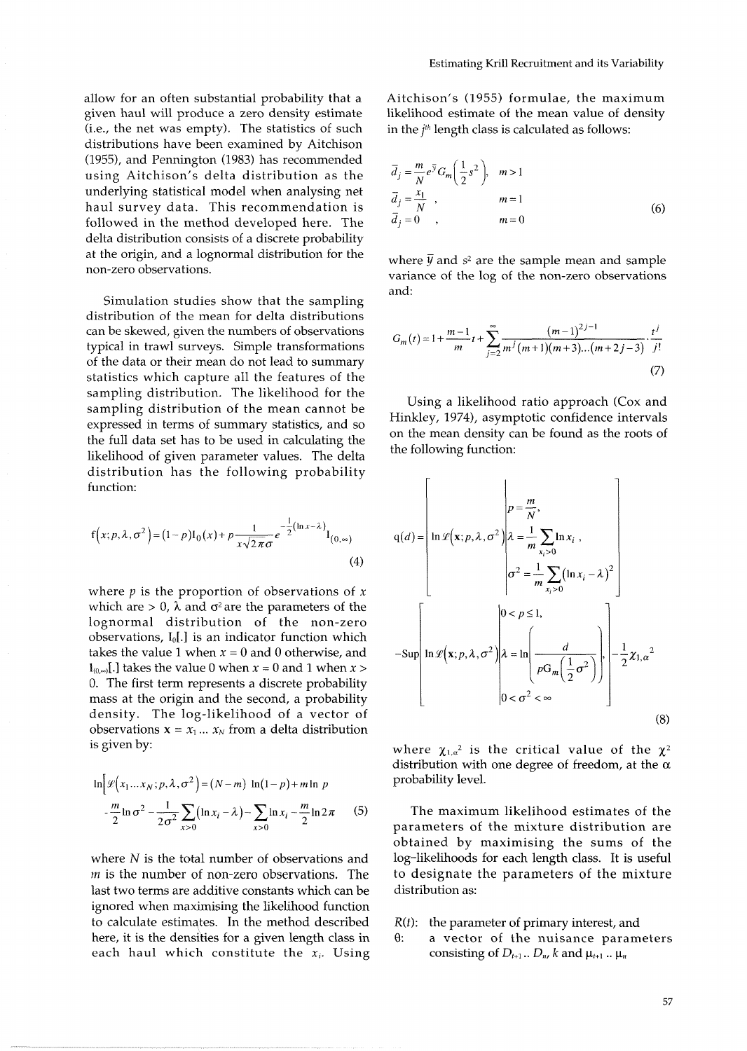allow for an often substantial probability that a given haul will produce a zero density estimate (i.e., the net was empty). The statistics of such distributions have been examined by Aitchison (1955), and Pennington (1983) has recommended using Aitchison's delta distribution as the underlying statistical model when analysing net haul survey data. This recommendation is followed in the method developed here. The delta distribution consists of a discrete probability at the origin, and a lognormal distribution for the non-zero observations.

Simulation studies show that the sampling distribution of the mean for delta distributions can be skewed, given the numbers of observations typical in trawl surveys. Simple transformations of the data or their mean do not lead to summary statistics which capture all the features of the sampling distribution. The likelihood for the sampling distribution of the mean cannot be expressed in terms of summary statistics, and so the full data set has to be used in calculating the likelihood of given parameter values. The delta distribution has the following probability function:

$$
f(x; p, \lambda, \sigma^2) = (1-p)I_0(x) + p \frac{1}{x\sqrt{2\pi}\sigma} e^{-\frac{1}{2}(\ln x - \lambda)} I_{(0, \infty)}
$$
\n(4)

where p is the proportion of observations of *<sup>X</sup>* which are  $> 0$ ,  $\lambda$  and  $\sigma^2$  are the parameters of the lognormal distribution of the non-zero observations, **I,[.]** is an indicator function which takes the value 1 when  $x = 0$  and 0 otherwise, and  $\mathbf{I}_{(0,\infty)}$ [.] takes the value 0 when  $x = 0$  and 1 when  $x > 0$ 0. The first term represents a discrete probability mass at the origin and the second, a probability density. The log-likelihood of a vector of observations  $x = x_1 ... x_N$  from a delta distribution is given by:

$$
\ln \left[ \mathcal{L} \left( x_1 \dots x_N; p, \lambda, \sigma^2 \right) = (N - m) \ln (1 - p) + m \ln p - \frac{m}{2} \ln \sigma^2 - \frac{1}{2 \sigma^2} \sum_{x > 0} (\ln x_i - \lambda) - \sum_{x > 0} \ln x_i - \frac{m}{2} \ln 2 \pi \qquad (5)
$$

where N is the total number of observations and  *is the number of non-zero observations. The* last two terms are additive constants which can be ignored when maximising the likelihood function to calculate estimates. In the method described here, it is the densities for a given length class in each haul which constitute the **X,.** Using

Aitchison's (1955) formulae, the maximum likelihood estimate of the mean value of density in the  $i<sup>th</sup>$  length class is calculated as follows:

$$
\overline{d}_j = \frac{m}{N} e^{\overline{y}} G_m \left(\frac{1}{2} s^2\right), \quad m > 1
$$
  
\n
$$
\overline{d}_j = \frac{x_1}{N}, \quad m = 1
$$
  
\n
$$
\overline{d}_j = 0, \quad m = 0
$$
\n(6)

where  $\bar{y}$  and  $s^2$  are the sample mean and sample variance of the log of the non-zero observations and:

$$
G_m(t) = 1 + \frac{m-1}{m}t + \sum_{j=2}^{\infty} \frac{\left(m-1\right)^{2j-1}}{m^j(m+1)(m+3)\dots(m+2j-3)} \cdot \frac{t^j}{j!}
$$
\n<sup>(7)</sup>

Using a likelihood ratio approach (Cox and Hinkley, 1974), asymptotic confidence intervals on the mean density can be found as the roots of the following function:

$$
q(d) = \left[\ln \mathcal{L}\left(\mathbf{x}; p, \lambda, \sigma^2\right) \middle| \lambda = \frac{m}{m} \sum_{x_i > 0} \ln x_i ,\n\sigma^2 = \frac{1}{m} \sum_{x_i > 0} (\ln x_i - \lambda)^2\n\right]
$$
\n
$$
-\text{Sup}\left[\ln \mathcal{L}\left(\mathbf{x}; p, \lambda, \sigma^2\right) \middle| \lambda = \ln \left(\frac{d}{pG_m\left(\frac{1}{2}\sigma^2\right)}\right),\n\right] - \frac{1}{2} \chi_{1,\alpha}^2
$$
\n
$$
0 < \sigma^2 < \infty
$$
\n(8)

where  $\chi_{1,\alpha^2}$  is the critical value of the  $\chi^2$ distribution with one degree of freedom, at the  $\alpha$ probability level.

The maximum likelihood estimates of the parameters of the mixture distribution are obtained by maximising the sums of the log-likelihoods for each length class. It is useful to designate the parameters of the mixture distribution as:

## *R(t):* the parameter of primary interest, and

8: a vector of the nuisance parameters consisting of  $D_{t+1}$ ...  $D_n$ , k and  $\mu_{t+1}$ ...  $\mu_n$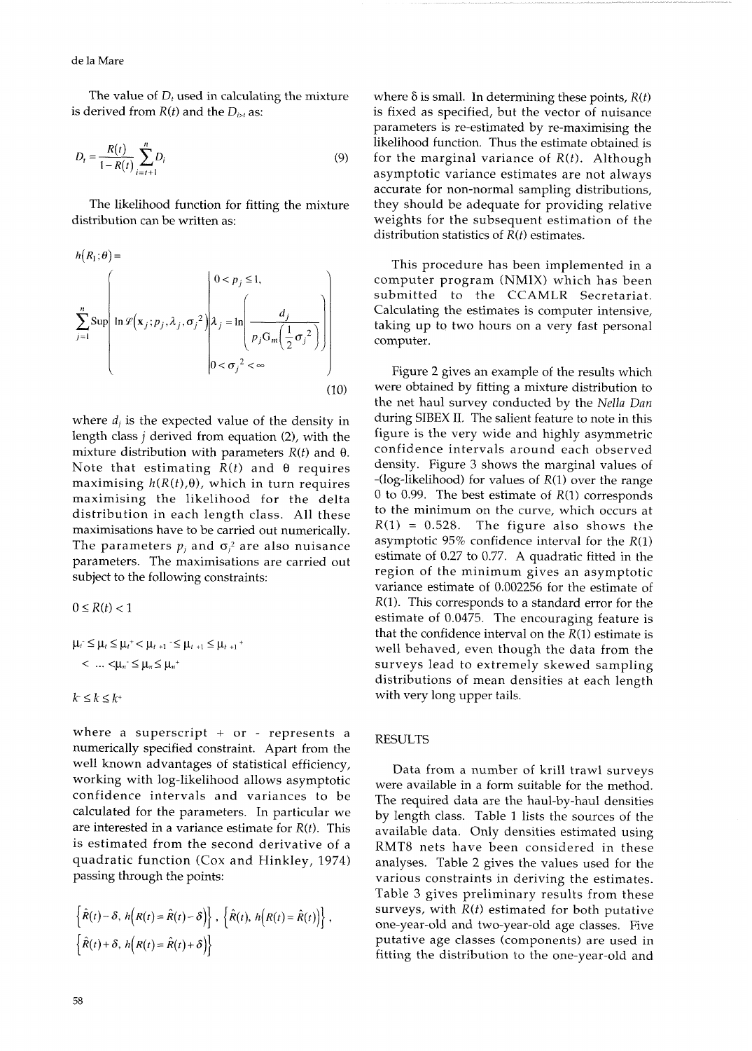The value of  $D_t$  used in calculating the mixture where  $\delta$  is small. In determining these points,  $R(t)$  is derived from  $R(t)$  and the  $D_{tot}$  as: is fixed as specified, but the vector of nuisance

$$
D_{t} = \frac{R(t)}{1 - R(t)} \sum_{i=t+1}^{n} D_{i}
$$
 (9)

The likelihood function for fitting the mixture they should be adequate for providing relative distribution can be written as: veights for the subsequent estimation of the

$$
h(R_1; \theta) = \sum_{j=1}^{n} \text{Supp} \left( \ln \mathcal{L}(\mathbf{x}_j; p_j, \lambda_j, \sigma_j^2) \middle| \lambda_j = \ln \left( \frac{d_j}{p_j G_m \left( \frac{1}{2} \sigma_j^2 \right)} \right) \right)
$$
\n
$$
0 < \sigma_j^2 < \infty
$$
\n
$$
(10)
$$

where  $d_i$  is the expected value of the density in length class j derived from equation (2), with the mixture distribution with parameters  $R(t)$  and  $\theta$ . Note that estimating  $R(t)$  and  $\theta$  requires maximising  $h(R(t),\theta)$ , which in turn requires maximising the likelihood for the delta distribution in each length class. All these maximisations have to be carried out numerically. The parameters  $p_i$  and  $\sigma_i^2$  are also nuisance parameters. The maximisations are carried out subject to the following constraints:

$$
0 \leq R(t) < 1
$$
\n
$$
\mu_{i} \leq \mu_{i} \leq \mu_{i} + \mu_{i+1} \leq \mu_{i+1} \leq \mu_{i+1} + \dots + \mu_{n} \leq \mu_{n} \leq \mu_{n} + \dots + \mu_{n} \leq \mu_{n} + \dots + \mu_{n} \leq \mu_{n} + \dots + \mu_{n} \leq k \leq k + \dots
$$

where a superscript + or - represents a numerically specified constraint. Apart from the well known advantages of statistical efficiency, working with log-likelihood allows asymptotic confidence intervals and variances to be calculated for the parameters. In particular we are interested in a variance estimate for  $R(t)$ . This is estimated from the second derivative of a quadratic function (Cox and Hinkley, 1974) passing through the points:

$$
\begin{aligned}\n\left\{\hat{R}(t) - \delta, h\Big(R(t) = \hat{R}(t) - \delta\Big)\right\}, \ \left\{\hat{R}(t), h\Big(R(t) = \hat{R}(t)\Big)\right\}, \\
\left\{\hat{R}(t) + \delta, h\Big(R(t) = \hat{R}(t) + \delta\Big)\right\}\n\end{aligned}
$$

is fixed as specified, but the vector of nuisance parameters is re-estimated by re-maximising the likelihood function. Thus the estimate obtained is for the marginal variance of  $R(t)$ . Although **<sup>I</sup>**- *R(t) i=t+l* asymptotic variance estimates are not always accurate for non-normal sampling distributions, weights for the subsequent estimation of the distribution statistics of  $R(t)$  estimates.

This procedure has been implemented in a computer program (NMIX) which has been submitted to the CCAMLR Secretariat. Calculating the estimates is computer intensive, taking up to two hours on a very fast personal computer.

Figure 2 gives an example of the results which were obtained by fitting a mixture distribution to the net haul survey conducted by the *Nella Dan*  during SIBEX 11. The salient feature to note in this figure is the very wide and highly asymmetric confidence intervals around each observed density. Figure 3 shows the marginal values of  $-(\log-likelihood)$  for values of  $R(1)$  over the range 0 to 0.99. The best estimate of  $R(1)$  corresponds to the minimum on the curve, which occurs at  $R(1) = 0.528$ . The figure also shows the asymptotic  $95\%$  confidence interval for the  $R(1)$ estimate of 0.27 to 0.77. A quadratic fitted in the region of the minimum gives an asymptotic variance estimate of 0.002256 for the estimate of  $R(1)$ . This corresponds to a standard error for the estimate of 0.0475. The encouraging feature is that the confidence interval on the  $R(1)$  estimate is well behaved, even though the data from the surveys lead to extremely skewed sampling distributions of mean densities at each length with very long upper tails.

### RESULTS

Data from a number of krill trawl surveys were available in a form suitable for the method. The required data are the haul-by-haul densities by length class. Table 1 lists the sources of the available data. Only densities estimated using RMT8 nets have been considered in these analyses. Table 2 gives the values used for the various constraints in deriving the estimates. Table 3 gives preliminary results from these surveys, with  $R(t)$  estimated for both putative one-year-old and two-year-old age classes. Five putative age classes (components) are used in fitting the distribution to the one-year-old and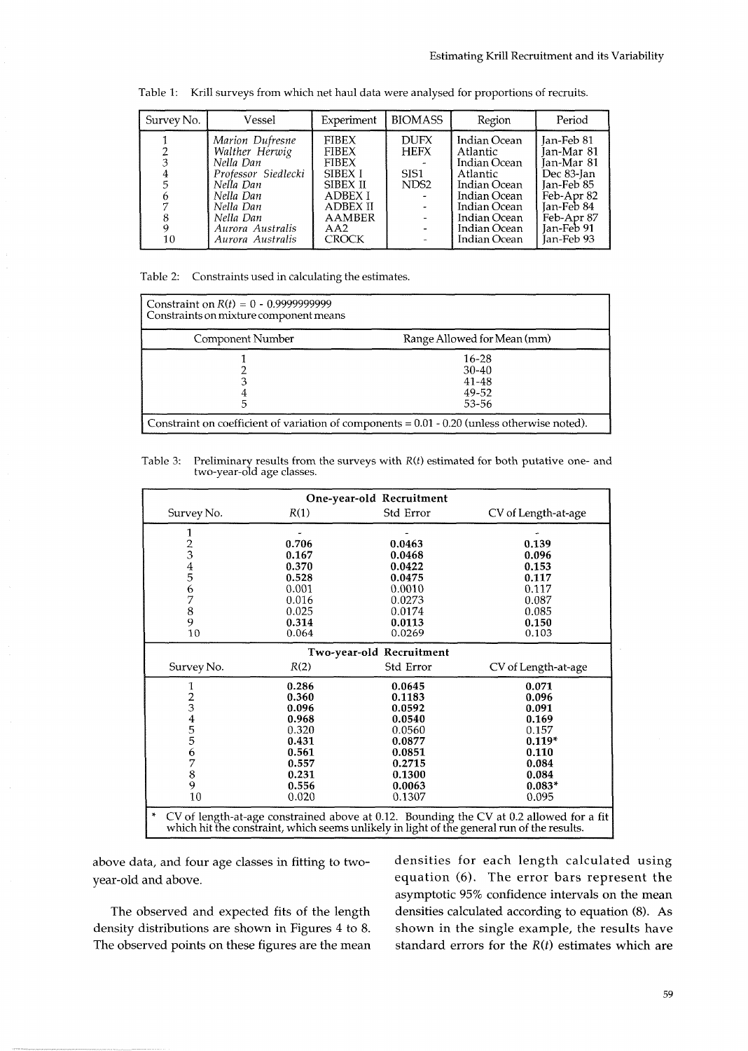| Survey No. | Vessel                                                                                                                                                            | Experiment                                                                                                                                              | <b>BIOMASS</b>                                         | Region                                                                                                                                               | Period                                                                                                                                   |
|------------|-------------------------------------------------------------------------------------------------------------------------------------------------------------------|---------------------------------------------------------------------------------------------------------------------------------------------------------|--------------------------------------------------------|------------------------------------------------------------------------------------------------------------------------------------------------------|------------------------------------------------------------------------------------------------------------------------------------------|
| 6<br>10    | Marion Dufresne<br>Walther Herwig<br>Nella Dan<br>Professor Siedlecki<br>Nella Dan<br>Nella Dan<br>Nella Dan<br>Nella Dan<br>Aurora Australis<br>Aurora Australis | <b>FIBEX</b><br><b>FIBEX</b><br><b>FIBEX</b><br><b>SIBEX I</b><br>SIBEX II<br><b>ADBEX I</b><br><b>ADBEX II</b><br><b>AAMBER</b><br>AA2<br><b>CROCK</b> | <b>DUFX</b><br><b>HEFX</b><br>SIS1<br>NDS <sub>2</sub> | Indian Ocean<br>Atlantic<br>Indian Ocean<br>Atlantic<br>Indian Ocean<br>Indian Ocean<br>Indian Ocean<br>Indian Ocean<br>Indian Ocean<br>Indian Ocean | Jan-Feb 81<br>Jan-Mar 81<br>Jan-Mar 81<br>Dec 83-Jan<br>Jan-Feb 85<br>Feb-Apr 82<br>lan-Feb 84<br>Feb-Apr 87<br>Jan-Feb 91<br>Jan-Feb 93 |

Table 1: Krill surveys from which net haul data were analysed for proportions of recruits.

Table 2: Constraints used in calculating the estimates.

| Constraints on mixture component means |                                                                                                |
|----------------------------------------|------------------------------------------------------------------------------------------------|
| Component Number                       | Range Allowed for Mean (mm)                                                                    |
|                                        | $16 - 28$                                                                                      |
|                                        | $30-40$                                                                                        |
|                                        | $41 - 48$                                                                                      |
|                                        | 49-52                                                                                          |
|                                        | 53-56                                                                                          |
|                                        | Constraint on coefficient of variation of components $= 0.01 - 0.20$ (unless otherwise noted). |

Table 3: Preliminary results from the surveys with *R(t)* estimated for both putative one- and two-year-old age classes.

| One-year-old Recruitment                                                                                                                                                                   |       |                          |                     |  |
|--------------------------------------------------------------------------------------------------------------------------------------------------------------------------------------------|-------|--------------------------|---------------------|--|
| Survey No.                                                                                                                                                                                 | R(1)  | Std Error                | CV of Length-at-age |  |
| 1                                                                                                                                                                                          |       |                          |                     |  |
| 2345                                                                                                                                                                                       | 0.706 | 0.0463                   | 0.139               |  |
|                                                                                                                                                                                            | 0.167 | 0.0468                   | 0.096               |  |
|                                                                                                                                                                                            | 0.370 | 0.0422                   | 0.153               |  |
|                                                                                                                                                                                            | 0.528 | 0.0475                   | 0.117               |  |
| $\frac{6}{7}$                                                                                                                                                                              | 0.001 | 0.0010                   | 0.117               |  |
|                                                                                                                                                                                            | 0.016 | 0.0273                   | 0.087               |  |
| $\frac{8}{9}$                                                                                                                                                                              | 0.025 | 0.0174                   | 0.085               |  |
|                                                                                                                                                                                            | 0.314 | 0.0113                   | 0.150               |  |
| 10                                                                                                                                                                                         | 0.064 | 0.0269                   | 0.103               |  |
|                                                                                                                                                                                            |       | Two-year-old Recruitment |                     |  |
| Survey No.                                                                                                                                                                                 | R(2)  | Std Error                | CV of Length-at-age |  |
| 1                                                                                                                                                                                          | 0.286 | 0.0645                   | 0.071               |  |
|                                                                                                                                                                                            | 0.360 | 0.1183                   | 0.096               |  |
|                                                                                                                                                                                            | 0.096 | 0.0592                   | 0.091               |  |
|                                                                                                                                                                                            | 0.968 | 0.0540                   | 0.169               |  |
|                                                                                                                                                                                            | 0.320 | 0.0560                   | 0.157               |  |
|                                                                                                                                                                                            | 0.431 | 0.0877                   | $0.119*$            |  |
| 2345567                                                                                                                                                                                    | 0.561 | 0.0851                   | 0.110               |  |
|                                                                                                                                                                                            | 0.557 | 0.2715                   | 0.084               |  |
| 8                                                                                                                                                                                          | 0.231 | 0.1300                   | 0.084               |  |
| 9                                                                                                                                                                                          | 0.556 | 0.0063                   | $0.083*$            |  |
| 10                                                                                                                                                                                         | 0.020 | 0.1307                   | 0.095               |  |
| ×<br>CV of length-at-age constrained above at 0.12. Bounding the CV at 0.2 allowed for a fit<br>which hit the constraint, which seems unlikely in light of the general run of the results. |       |                          |                     |  |

year-old and above. equation **(6).** The error bars represent the

density distributions are shown in Figures 4 to 8. shown in the single example, the results have The observed points on these figures are the mean standard errors for the *R(t)* estimates which are

above data, and four age classes in fitting to two- densities for each length calculated using asymptotic 95% confidence intervals on the mean The observed and expected fits of the length densities calculated according to equation (8). As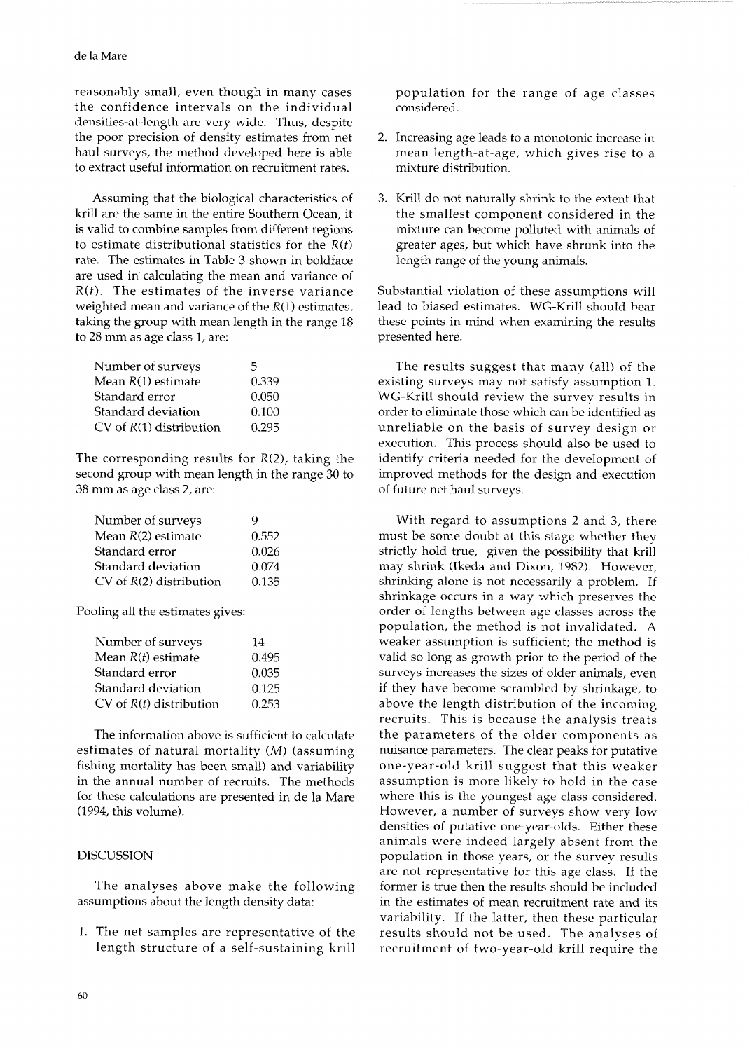reasonably small, even though in many cases the confidence intervals on the individual densities-at-length are very wide. Thus, despite the poor precision of density estimates from net haul surveys, the method developed here is able to extract useful information on recruitment rates.

Assuming that the biological characteristics of krill are the same in the entire Southern Ocean, it is valid to combine samples from different regions to estimate distributional statistics for the  $R(t)$ rate. The estimates in Table 3 shown in boldface are used in calculating the mean and variance of  $R(t)$ . The estimates of the inverse variance weighted mean and variance of the  $R(1)$  estimates, taking the group with mean length in the range 18 to 28 mm as age class 1, are:

| Number of surveys           | 5     |
|-----------------------------|-------|
| Mean $R(1)$ estimate        | 0.339 |
| Standard error              | 0.050 |
| Standard deviation          | 0.100 |
| $CV$ of $R(1)$ distribution | 0.295 |

The corresponding results for  $R(2)$ , taking the second group with mean length in the range 30 to 38 mm as age class 2, are:

| Number of surveys           | y     |
|-----------------------------|-------|
| Mean $R(2)$ estimate        | 0.552 |
| Standard error              | 0.026 |
| Standard deviation          | 0.074 |
| $CV$ of $R(2)$ distribution | 0.135 |

Pooling all the estimates gives:

| Number of surveys           | 14    |
|-----------------------------|-------|
| Mean $R(t)$ estimate        | 0.495 |
| Standard error              | 0.035 |
| Standard deviation          | 0.125 |
| $CV$ of $R(t)$ distribution | 0.253 |

The information above is sufficient to calculate estimates of natural mortality (M) (assuming fishing mortality has been small) and variability in the annual number of recruits. The methods for these calculations are presented in de la Mare (1994, this volume).

## DISCUSSION

The analyses above make the following assumptions about the length density data:

1. The net samples are representative of the length structure of a self-sustaining krill population for the range of age classes considered.

- 2. Increasing age leads to a monotonic increase in mean length-at-age, which gives rise to a mixture distribution.
- 3. Krill do not naturally shrink to the extent that the smallest component considered in the mixture can become polluted with animals of greater ages, but which have shrunk into the length range of the young animals.

Substantial violation of these assumptions will lead to biased estimates. WG-Krill should bear these points in mind when examining the results presented here.

The results suggest that many (all) of the existing surveys may not satisfy assumption 1. WG-Krill should review the survey results in order to eliminate those which can be identified as unreliable on the basis of survey design or execution. This process should also be used to identify criteria needed for the development of improved methods for the design and execution of future net haul surveys.

With regard to assumptions 2 and 3, there must be some doubt at this stage whether they strictly hold true, given the possibility that krill may shrink (Ikeda and Dixon, 1982). However, shrinking alone is not necessarily a problem. If shrinkage occurs in a way which preserves the order of lengths between age classes across the population, the method is not invalidated. A weaker assumption is sufficient; the method is valid so long as growth prior to the period of the surveys increases the sizes of older animals, even if they have become scrambled by shrinkage, to above the length distribution of the incoming recruits. This is because the analysis treats the parameters of the older components as nuisance parameters. The clear peaks for putative one-year-old krill suggest that this weaker assumption is more likely to hold in the case where this is the youngest age class considered. However, a number of surveys show very low densities of putative one-year-olds. Either these animals were indeed largely absent from the population in those years, or the survey results are not representative for this age class. If the former is true then the results should be included in the estimates of mean recruitment rate and its variability. If the latter, then these particular results should not be used. The analyses of recruitment of two-year-old krill require the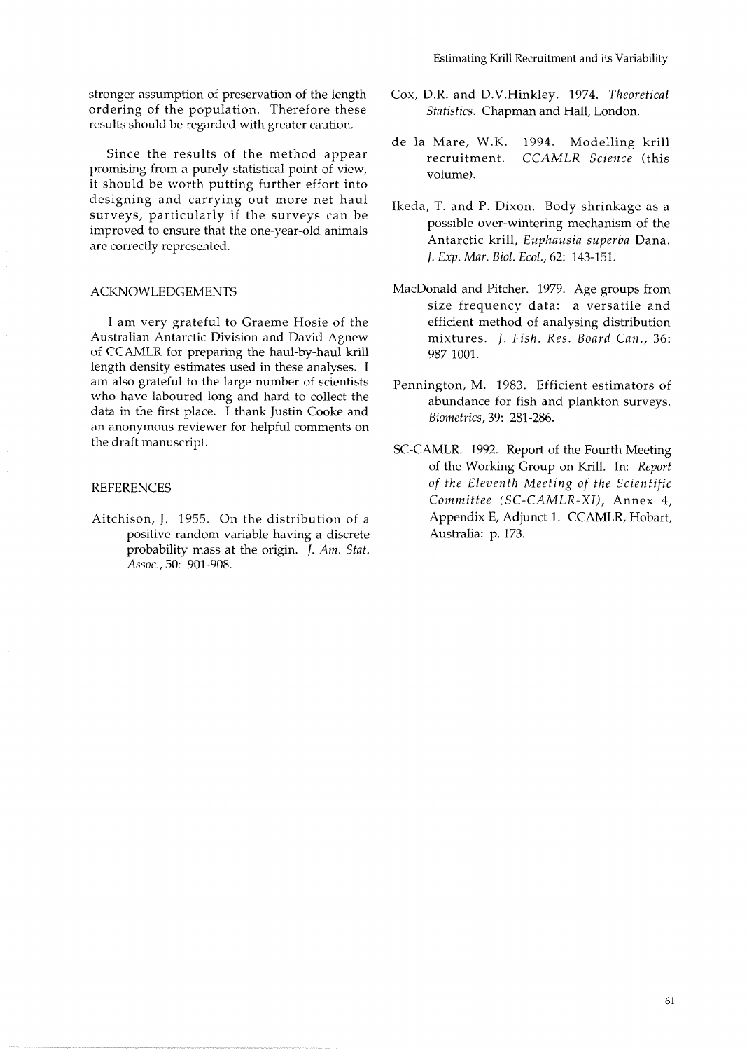stronger assumption of preservation of the length ordering of the population. Therefore these results should be regarded with greater caution.

Since the results of the method appear promising from a purely statistical point of view, it should be worth putting further effort into designing and carrying out more net haul surveys, particularly if the surveys can be improved to ensure that the one-year-old animals are correctly represented.

## ACKNOWLEDGEMENTS

I am very grateful to Graeme Hosie of the Australian Antarctic Division and David Agnew of CCAMLR for preparing the haul-by-haul krill length density estimates used in these analyses. I am also grateful to the large number of scientists who have laboured long and hard to collect the data in the first place. I thank Justin Cooke and an anonymous reviewer for helpful comments on the draft manuscript.

## **REFERENCES**

Aitchison, J. 1955. On the distribution of a positive random variable having a discrete probability mass at the origin. *J. Am. Stat. ASSOC.,* 50: 901-908.

- Cox, D.R. and D.V.Hinkley. 1974. *Theoretical Statistics.* Chapman and Hall, London.
- de la Mare, W.K. 1994. Modelling krill recruitment. *CCAMLR Science* (this volume).
- Ikeda, T. and P. Dixon. Body shrinkage as a possible over-wintering mechanism of the Antarctic krill, *Euphausia superba* Dana. J. *Exp. Mar. Biol. Ecol.,* 62: 143-151.
- MacDonald and Pitcher. 1979. Age groups from size frequency data: a versatile and efficient method of analysing distribution mixtures. J. *Fish. Res. Board Can.,* 36: 987-1001.
- Pennington, M. 1983. Efficient estimators of abundance for fish and plankton surveys. *Biometrics,* 39: 281-286.
- SC-CAMLR. 1992. Report of the Fourth Meeting of the Working Group on Krill. In: *Report of the Eleventh Meeting of the Scientific Committee (SC-CAMLR-XI),* Annex *4,*  Appendix E, Adjunct 1. CCAMLR, Hobart, Australia: p. 173.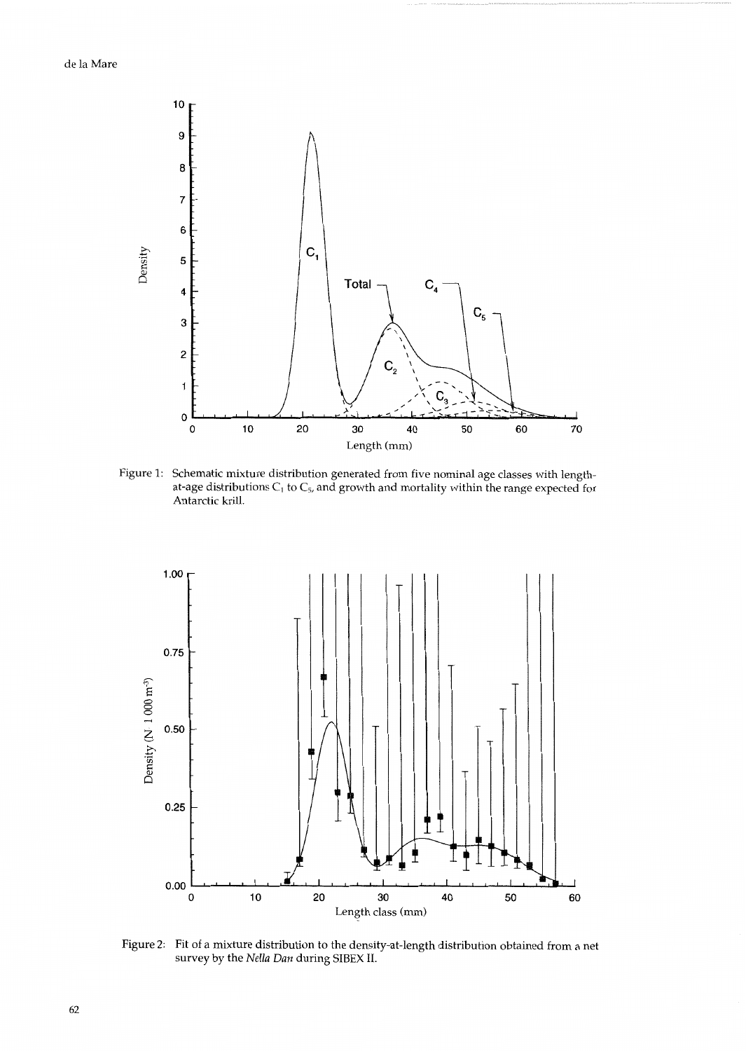

Figure 1: Schematic mixture distribution generated from five nominal age classes with lengthat-age distributions  $C_1$  to  $C_5$ , and growth and mortality within the range expected for Antarctic krill.



Figure 2: Fit of a mixture distribution to the density-at-length distribution obtained from a net survey by the *Nella Dun* during *SIBEX* 11.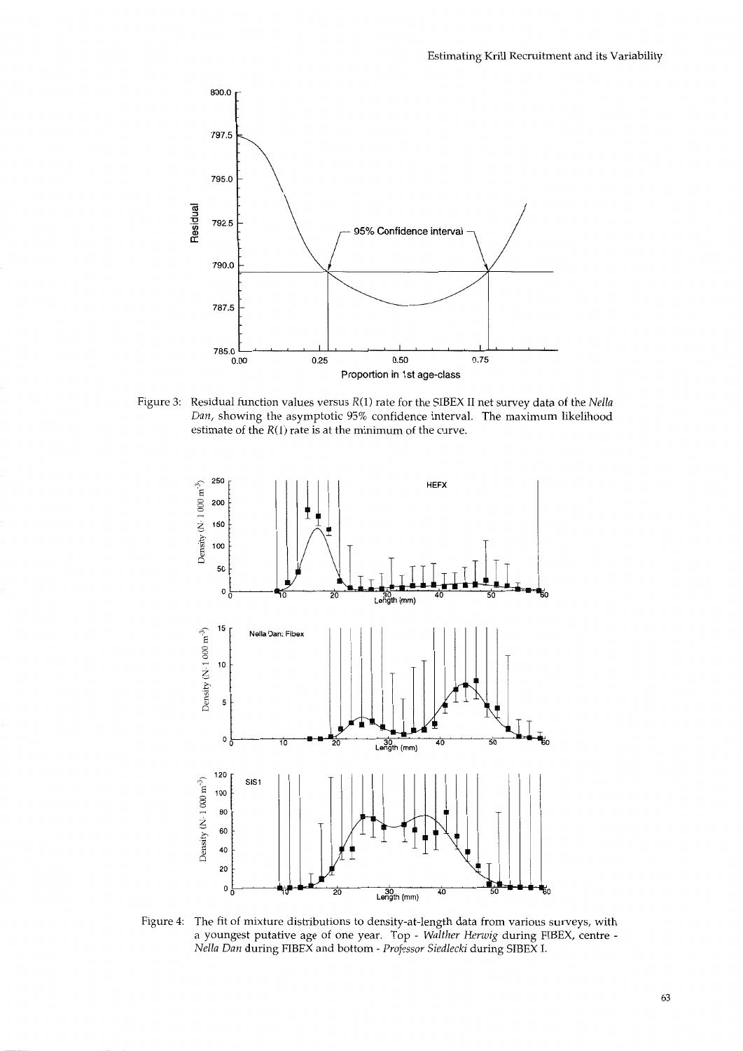

Figure **3:** Residual function values versus R(1) rate for the SIBEX I1 net survey data of the *Nella Dan,* showing the asymptotic 95% confidence interval. The maximum likelihood estimate of the R(1) rate is at the minimum of the curve.



Figure 4: The fit of mixture distributions to density-at-length data from various surveys, with a youngest putative age of one year. Top - *Walther Herwig* during FIBEX, centre - *Nella Dan* during FIBEX and bottom - *Professor Siedlecki* during SIBEX I.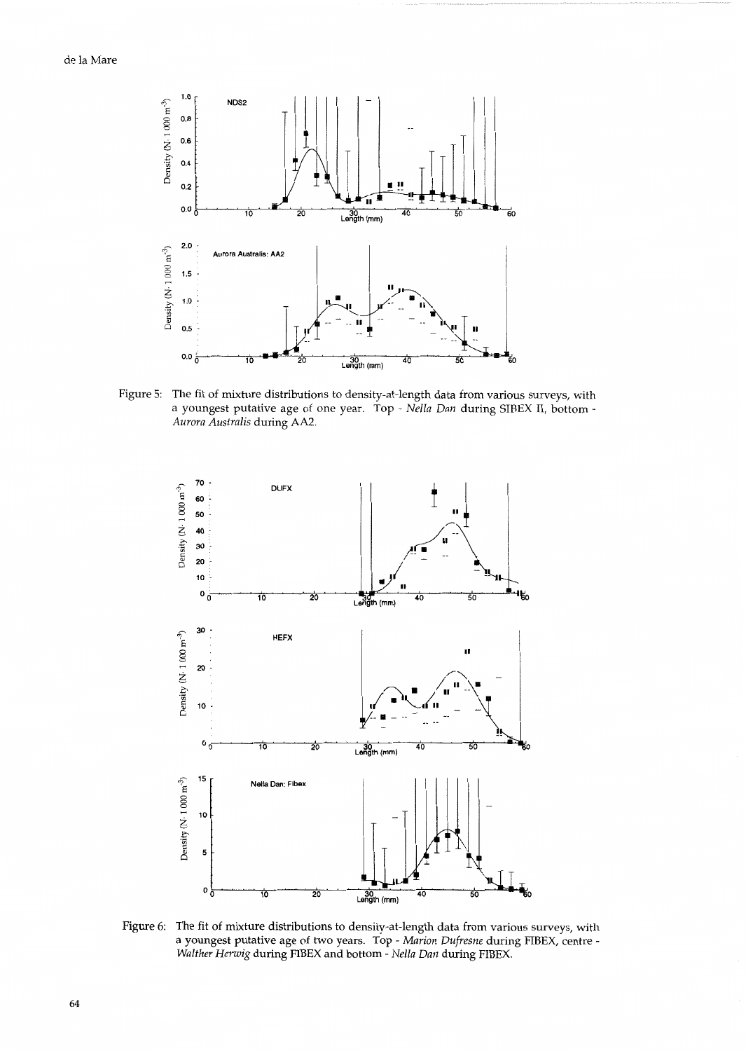

Figure 5: The fit of mixture distributions to density-at-length data from various surveys, with a youngest putative age of one year. Top - *Nella Dun* during SIBEX 11, bottom - *Aurora Australis* during **AA2.** 



Figure 6: The fit of mixture distributions to density-at-length data from various surveys, with a youngest putative age of two years. Top - *Marion Dufresne* during FIBEX, centre - *Walther Herwig* during FIBEX and bottom - *Nella Dun* during FIBEX.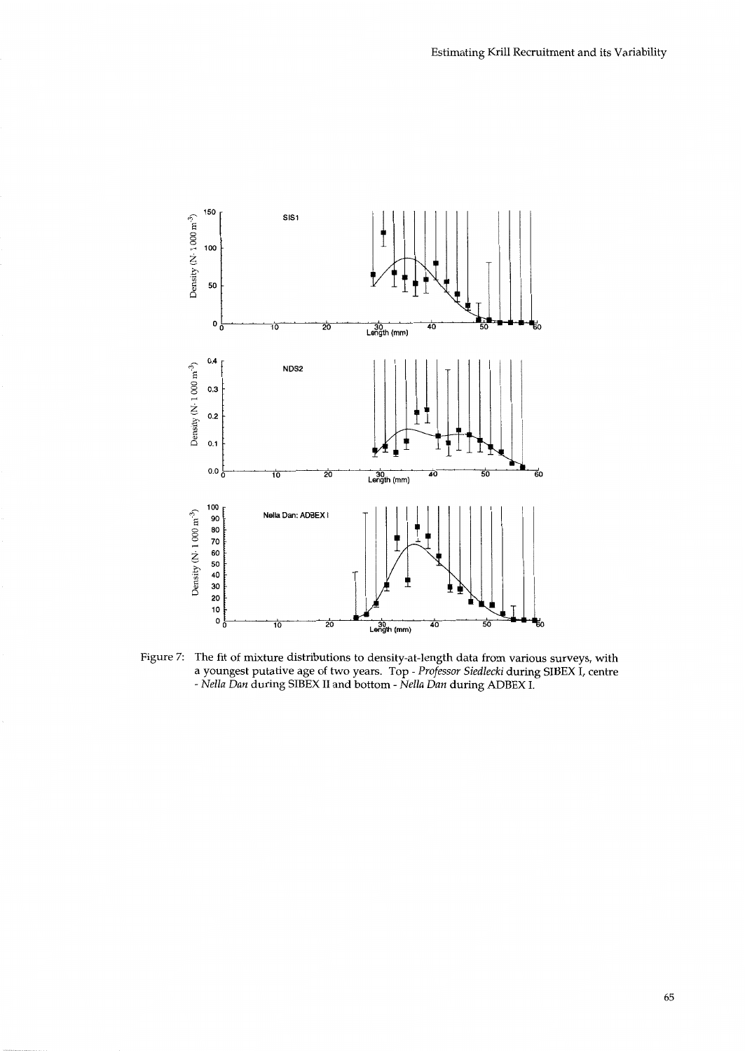

Figure 7: The fit of mixture distributions to density-at-length data from various surveys, with a youngest putative age of two years. Top - *Professor Siedlecki* during SIBEX I, centre - *Nella Dun* during SIBEX I1 and bottom - *Nella Dun* during ADBEX *I.*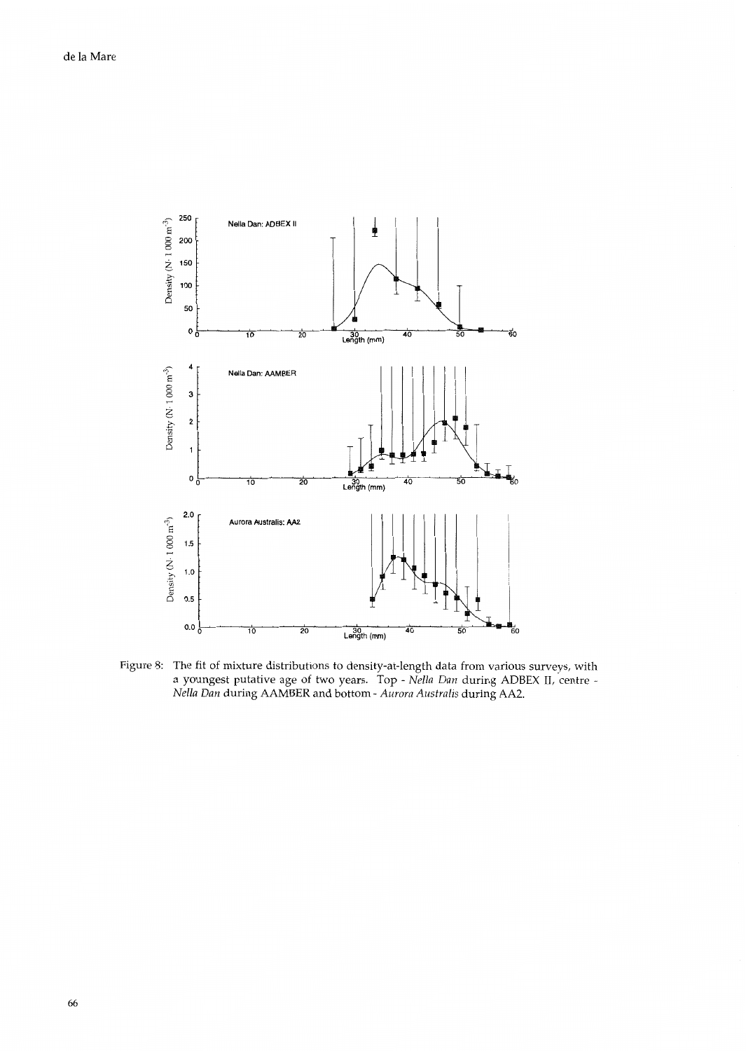

Figure S: The fit of mixture distributions to density-at-length data from various surveys, with a youngest putative age of two years. Top - *Nella Dan* during ADBEX 11, centre - *Nella Dan* during AAMBER and bottom - *Aurora Australis* during AA2.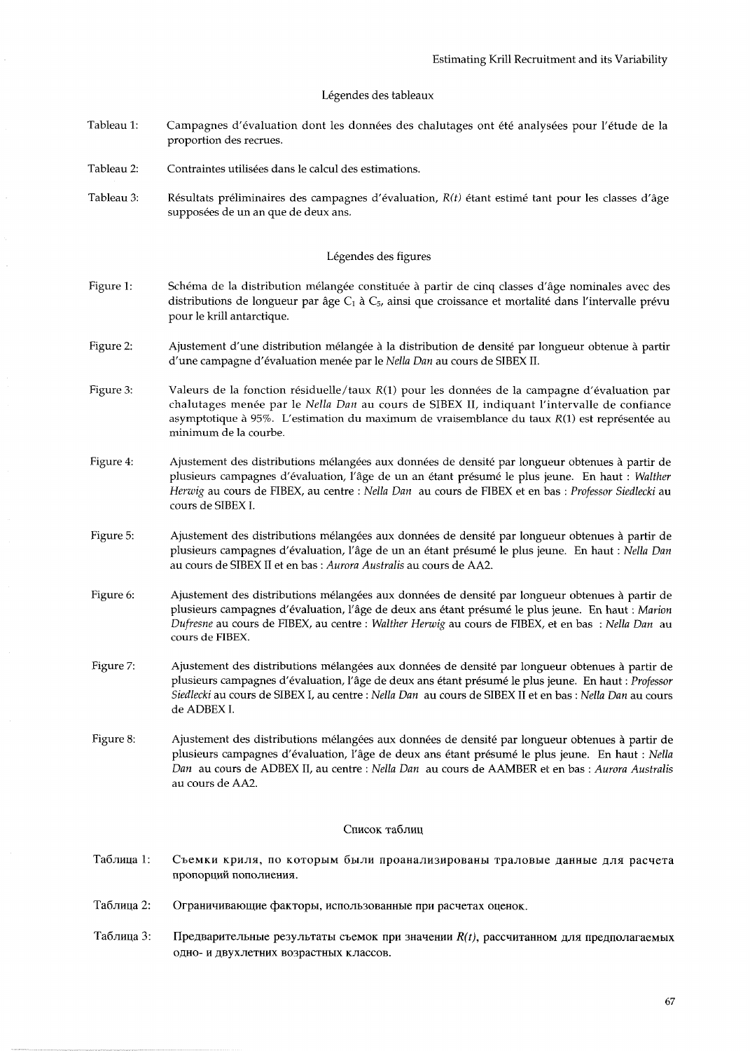## Légendes des tableaux

- Tableau 1: Campagnes d'évaluation dont les données des chalutages ont été analysées pour l'étude de la proportion des recrues.
- Tableau 2: Contraintes utilisées dans le calcul des estimations.
- Tableau 3: Résultats préliminaires des campagnes d'évaluation, *R(t)* étant estimé tant pour les classes d'âge supposées de un an que de deux ans.

## Légendes des figures

- Figure 1: Schéma de la distribution mélangée constituée à partir de cinq classes d'âge nominales avec des distributions de longueur par âge C<sub>1</sub> à C<sub>5</sub>, ainsi que croissance et mortalité dans l'intervalle prévu pour le krill antarctique.
- Figure 2: Ajustement d'une distribution melangee a la distribution de densite par longueur obtenue a partir d'une campagne d'evaluation menee par le *Nella Dun* au cours de SIBEX 11.
- Figure 3: Valeurs de la fonction residuelle/taux *R(1)* pour les donnees de la campagne d'evaluation par chalutages menee par le *Nella Dun* au cours de SIBEX 11, indiquant l'intervalle de confiance asymptotique à 95%. L'estimation du maximum de vraisemblance du taux *R*(1) est représentée au minimum de la courbe.
- Figure 4: Ajustement des distributions mélangées aux données de densité par longueur obtenues à partir de plusieurs campagnes d'évaluation, l'âge de un an étant présumé le plus jeune. En haut : *Walther Herwig* au cours de FIBEX, au centre : *Nella Dun* au cours de F'IBEX et en bas : *Professor Siedlecki* au cours de SIBEX I.
- Figure 5: Ajustement des distributions melangees aux donnees de densite par longueur obtenues a partir de plusieurs campagnes d'evaluation, l'8ge de un an etant presume le plus jeune. En haut : *Nella Dun*  au cours de SIBEX I1 et en bas : *Aurora Australis* au cours de **AA2.**
- Figure 6: Ajustement des distributions mélangées aux données de densité par longueur obtenues à partir de plusieurs campagnes d'evaluation, l'sge de deux ans etant presume le plus jeune. En haut : *Marion Dufresne* au cours de FIBEX, au centre : *Walther Herwig* au cours de FIBEX, et en bas : *Nella Dun* au cours de FIBEX.
- Figure 7: Ajustement des distributions melangees aux donnees de densite par longueur obtenues a partir de plusieurs campagnes d'évaluation, l'âge de deux ans étant présumé le plus jeune. En haut : *Professor Siedlecki* au cours de SIBEX I, au centre : *Nella Dun* au cours de SIBEX I1 et en bas : *Nella Dun* au cours de ADBEX I.
- Figure 8: Ajustement des distributions melangees aux donnees de densite par longueur obtenues a partir de plusieurs campagnes d'évaluation, l'âge de deux ans étant présumé le plus jeune. En haut : *Nella Dun* au cours de ADBEX 11, au centre : *Nella Dun* au cours de AAMBER et en bas : *Aurora Australis*  au cours de AA2.

### Список таблиц

- Таблица 1: Съемки криля, по которым были проанализированы траловые данные для расчета пропорций пополнения.
- Таблина 2: Ограничивающие факторы, использованные при расчетах оценок.
- Таблица 3: Предварительные результаты съемок при значении  $R(t)$ , рассчитанном для предполагаемых одно- и двухлетних возрастных классов.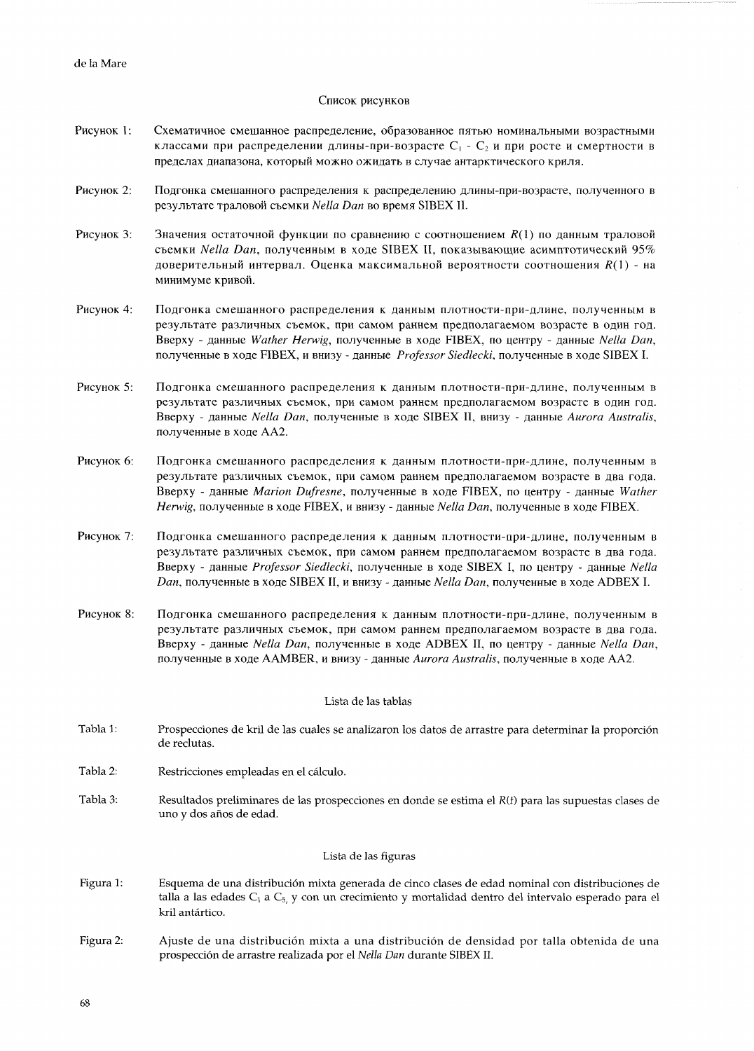## Список рисунков

- Рисунок 1: Схематичное смешанное распределение, образованное пятью номинальными возрастными классами при распределении длины-при-возрасте  $C_1 - C_2$  и при росте и смертности в пределах диапазона, который можно ожидать в случае антарктического криля.
- Рисунок 2: Подгонка смешанного распределения к распределению длины-при-возрасте, полученного в результате траловой съемки Nella Dan во время SIBEX II.
- Рисунок 3:  $-$ Вначения остаточной функции по сравнению с соотношением  $R(1)$  по данным траловой CaeMKH *Nella Dun.* n0nyYeHHbIM B XOAe SIBEX **11,** IIOKa3bIBaIo~He ~CHM~TOTMY~CKH~~ 95% доверительный интервал. Оценка максимальной вероятности соотношения  $R(1)$  - на минимуме кривой.
- Рисунок 4: Подгонка смешанного распределения к данным плотности-при-длине, полученным в результате различных съемок, при самом раннем предполагаемом возрасте в один год. Bверху - данные Wather Herwig, полученные в ходе FIBEX, по центру - данные Nella Dan, nonyYeHHbIe *B* xone FIBEX, H BHWY - Ramble *Professor Siedlecki,* nonyqembre B xone SIBEX I.
- Рисунок 5: Подгонка смешанного распределения к данным плотности-при-длине, полученным в результате различных съемок, при самом раннем предполагаемом возрасте в один год. Bверху - данные *Nella Dan*, полученные в ходе SIBEX II, внизу - данные Aurora Australis, nonyyeHHbte *B* xone AA2.
- Рисунок 6: Подгонка смешанного распределения к данным плотности-при-длине, полученным в результате различных съемок, при самом раннем предполагаемом возрасте в два года. Bверху - данные *Marion Dufresne*, полученные в ходе FIBEX, по центру - данные Wather Herwig, полученные в ходе FIBEX, и внизу - данные Nella Dan, полученные в ходе FIBEX.
- Рисунок 7: Подгонка смешанного распределения к данным плотности-при-длине, полученным в результате различных съемок, при самом раннем предполагаемом возрасте в два года. Bsepxy - AaHHble *Professor Siedlecki,* nonyqeHHbIe B XOAe SIBEX **I,** no UeHTpy - AaHHbIe *Nella Dun,* nonyYeHHbre B xone SIBEX **11,** u BHUSY - DaHHbIe *Nella Dan,* nonyYeHHbre *B* xone ADBEX I.
- Рисунок 8: Подгонка смешанного распределения к данным плотности-при-длине, полученным в результате различных съемок, при самом раннем предполагаемом возрасте в два года. Bверху - данные *Nella Dan*, полученные в ходе ADBEX II, по центру - данные *Nella Dan*, полученные в ходе AAMBER, и внизу - данные Aurora Australis, полученные в ходе AA2.

### Lista de las tablas

- Tabla 1: Prospecciones de kril de las cuales se analizaron 10s datos de arrastre para determinar la proporcion de reclutas.
- Tabla 2: Restricciones empleadas en el calculo.
- Tabla **3:**  Resultados preliminares de las prospecciones en donde se estima el *R(t)* para las supuestas clases de uno y dos años de edad.

## Lista de las figuras

- Figura 1: Esquema de una distribucion mixta generada de cinco clases de edad nominal con distribuciones de talla a las edades C<sub>1</sub> a C<sub>5</sub>, y con un crecimiento y mortalidad dentro del intervalo esperado para el kril antártico.
- Figura 2: Ajuste de una distribucion mixta a una distribucion de densidad por talla obtenida de una prospecci6n de arrastre realizada por el Nella *Dun* durante *SIBEX* 11.